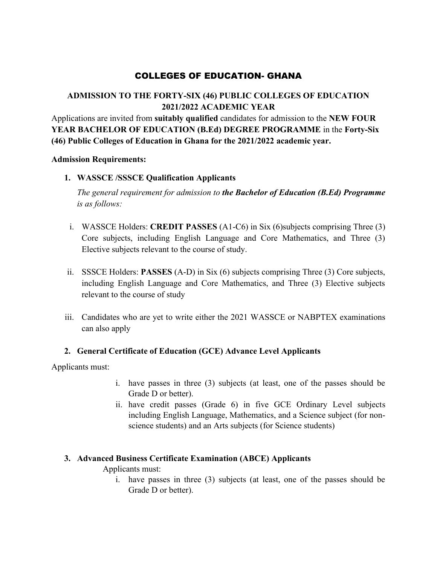# COLLEGES OF EDUCATION- GHANA

## **ADMISSION TO THE FORTY-SIX (46) PUBLIC COLLEGES OF EDUCATION 2021/2022 ACADEMIC YEAR**

Applications are invited from **suitably qualified** candidates for admission to the **NEW FOUR YEAR BACHELOR OF EDUCATION (B.Ed) DEGREE PROGRAMME** in the **Forty-Six (46) Public Colleges of Education in Ghana for the 2021/2022 academic year.**

#### **Admission Requirements:**

#### **1. WASSCE /SSSCE Qualification Applicants**

*The general requirement for admission to the Bachelor of Education (B.Ed) Programme is as follows:*

- i. WASSCE Holders: **CREDIT PASSES** (A1-C6) in Six (6)subjects comprising Three (3) Core subjects, including English Language and Core Mathematics, and Three (3) Elective subjects relevant to the course of study.
- ii. SSSCE Holders: **PASSES** (A-D) in Six (6) subjects comprising Three (3) Core subjects, including English Language and Core Mathematics, and Three (3) Elective subjects relevant to the course of study
- iii. Candidates who are yet to write either the 2021 WASSCE or NABPTEX examinations can also apply

## **2. General Certificate of Education (GCE) Advance Level Applicants**

Applicants must:

- i. have passes in three (3) subjects (at least, one of the passes should be Grade D or better).
- ii. have credit passes (Grade 6) in five GCE Ordinary Level subjects including English Language, Mathematics, and a Science subject (for nonscience students) and an Arts subjects (for Science students)

#### **3. Advanced Business Certificate Examination (ABCE) Applicants**

Applicants must:

i. have passes in three (3) subjects (at least, one of the passes should be Grade D or better).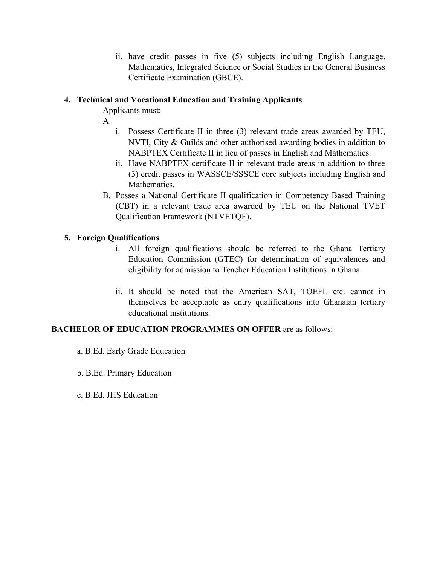ii. have credit passes in five (5) subjects including English Language, Mathematics, Integrated Science or Social Studies in the General Business Certificate Examination (GBCE).

### **4. Technical and Vocational Education and Training Applicants**

Applicants must:

- A.
- i. Possess Certificate II in three (3) relevant trade areas awarded by TEU, NVTI, City & Guilds and other authorised awarding bodies in addition to NABPTEX Certificate II in lieu of passes in English and Mathematics.
- ii. Have NABPTEX certificate II in relevant trade areas in addition to three (3) credit passes in WASSCE/SSSCE core subjects including English and Mathematics.
- B. Posses a National Certificate II qualification in Competency Based Training (CBT) in a relevant trade area awarded by TEU on the National TVET Qualification Framework (NTVETQF).

### **5. Foreign Qualifications**

- i. All foreign qualifications should be referred to the Ghana Tertiary Education Commission (GTEC) for determination of equivalences and eligibility for admission to Teacher Education Institutions in Ghana.
- ii. It should be noted that the American SAT, TOEFL etc. cannot in themselves be acceptable as entry qualifications into Ghanaian tertiary educational institutions.

#### **BACHELOR OF EDUCATION PROGRAMMES ON OFFER** are as follows:

- a. B.Ed. Early Grade Education
- b. B.Ed. Primary Education
- c. B.Ed. JHS Education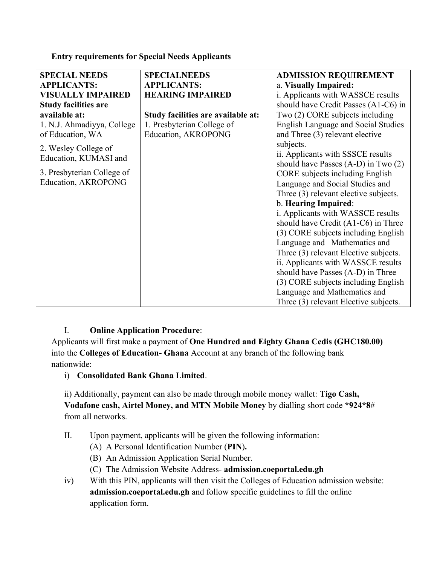#### **Entry requirements for Special Needs Applicants**

| <b>SPECIAL NEEDS</b>        | <b>SPECIALNEEDS</b>                | <b>ADMISSION REQUIREMENT</b>               |
|-----------------------------|------------------------------------|--------------------------------------------|
| <b>APPLICANTS:</b>          | <b>APPLICANTS:</b>                 | a. Visually Impaired:                      |
| <b>VISUALLY IMPAIRED</b>    | <b>HEARING IMPAIRED</b>            | i. Applicants with WASSCE results          |
| <b>Study facilities are</b> |                                    | should have Credit Passes (A1-C6) in       |
| available at:               | Study facilities are available at: | Two (2) CORE subjects including            |
| 1. N.J. Ahmadiyya, College  | 1. Presbyterian College of         | <b>English Language and Social Studies</b> |
| of Education, WA            | Education, AKROPONG                | and Three (3) relevant elective            |
| 2. Wesley College of        |                                    | subjects.                                  |
| Education, KUMASI and       |                                    | ii. Applicants with SSSCE results          |
|                             |                                    | should have Passes $(A-D)$ in Two $(2)$    |
| 3. Presbyterian College of  |                                    | CORE subjects including English            |
| Education, AKROPONG         |                                    | Language and Social Studies and            |
|                             |                                    | Three (3) relevant elective subjects.      |
|                             |                                    | b. Hearing Impaired:                       |
|                             |                                    | i. Applicants with WASSCE results          |
|                             |                                    | should have Credit (A1-C6) in Three        |
|                             |                                    | (3) CORE subjects including English        |
|                             |                                    | Language and Mathematics and               |
|                             |                                    | Three (3) relevant Elective subjects.      |
|                             |                                    | ii. Applicants with WASSCE results         |
|                             |                                    | should have Passes (A-D) in Three          |
|                             |                                    | (3) CORE subjects including English        |
|                             |                                    | Language and Mathematics and               |
|                             |                                    | Three (3) relevant Elective subjects.      |

## I. **Online Application Procedure**:

Applicants will first make a payment of **One Hundred and Eighty Ghana Cedis (GHC180.00)**  into the **Colleges of Education- Ghana** Account at any branch of the following bank nationwide:

## i) **Consolidated Bank Ghana Limited**.

ii) Additionally, payment can also be made through mobile money wallet: **Tigo Cash, Vodafone cash, Airtel Money, and MTN Mobile Money** by dialling short code **\*924\*8**# from all networks.

- II. Upon payment, applicants will be given the following information:
	- (A) A Personal Identification Number (**PIN**)**.**
	- (B) An Admission Application Serial Number.
	- (C) The Admission Website Address- **admission.coeportal.edu.gh**
- iv) With this PIN, applicants will then visit the Colleges of Education admission website: **admission.coeportal.edu.gh** and follow specific guidelines to fill the online application form.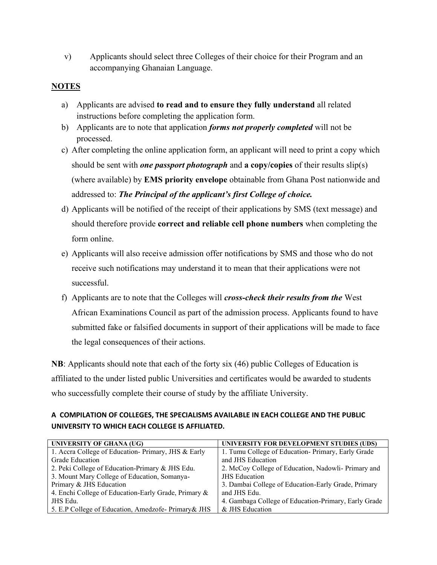v) Applicants should select three Colleges of their choice for their Program and an accompanying Ghanaian Language.

#### **NOTES**

- a) Applicants are advised **to read and to ensure they fully understand** all related instructions before completing the application form.
- b) Applicants are to note that application *forms not properly completed* will not be processed.
- c) After completing the online application form, an applicant will need to print a copy which should be sent with *one passport photograph* and **a copy/copies** of their results slip(s) (where available) by **EMS priority envelope** obtainable from Ghana Post nationwide and addressed to: *The Principal of the applicant's first College of choice.*
- d) Applicants will be notified of the receipt of their applications by SMS (text message) and should therefore provide **correct and reliable cell phone numbers** when completing the form online.
- e) Applicants will also receive admission offer notifications by SMS and those who do not receive such notifications may understand it to mean that their applications were not successful.
- f) Applicants are to note that the Colleges will *cross-check their results from the* West African Examinations Council as part of the admission process. Applicants found to have submitted fake or falsified documents in support of their applications will be made to face the legal consequences of their actions.

**NB**: Applicants should note that each of the forty six (46) public Colleges of Education is affiliated to the under listed public Universities and certificates would be awarded to students who successfully complete their course of study by the affiliate University.

#### **A COMPILATION OF COLLEGES, THE SPECIALISMS AVAILABLE IN EACH COLLEGE AND THE PUBLIC UNIVERSITY TO WHICH EACH COLLEGE IS AFFILIATED.**

| UNIVERSITY OF GHANA (UG)                             | UNIVERSITY FOR DEVELOPMENT STUDIES (UDS)             |
|------------------------------------------------------|------------------------------------------------------|
| 1. Accra College of Education- Primary, JHS & Early  | 1. Tumu College of Education-Primary, Early Grade    |
| Grade Education                                      | and JHS Education                                    |
| 2. Peki College of Education-Primary & JHS Edu.      | 2. McCoy College of Education, Nadowli- Primary and  |
| 3. Mount Mary College of Education, Somanya-         | <b>JHS</b> Education                                 |
| Primary & JHS Education                              | 3. Dambai College of Education-Early Grade, Primary  |
| 4. Enchi College of Education-Early Grade, Primary & | and JHS Edu.                                         |
| JHS Edu.                                             | 4. Gambaga College of Education-Primary, Early Grade |
| 5. E.P College of Education, Amedzofe- Primary & JHS | & JHS Education                                      |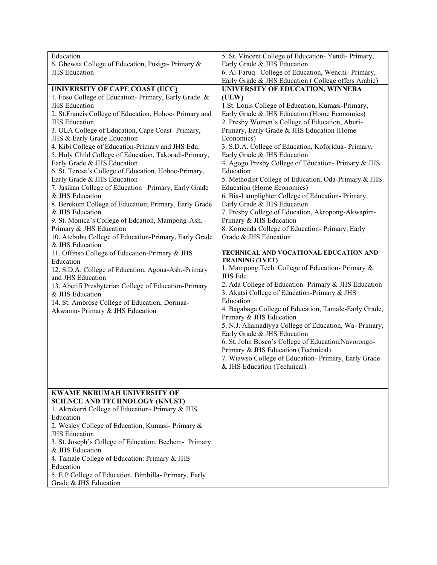| Education                                              | 5. St. Vincent College of Education-Yendi-Primary,    |
|--------------------------------------------------------|-------------------------------------------------------|
| 6. Gbewaa College of Education, Pusiga-Primary &       | Early Grade & JHS Education                           |
| <b>JHS</b> Education                                   | 6. Al-Faruq - College of Education, Wenchi- Primary,  |
|                                                        | Early Grade & JHS Education (College offers Arabic)   |
| UNIVERSITY OF CAPE COAST (UCC)                         | UNIVERSITY OF EDUCATION, WINNEBA                      |
| 1. Foso College of Education- Primary, Early Grade &   | (UEW)                                                 |
| <b>JHS</b> Education                                   | 1.St. Louis College of Education, Kumasi-Primary,     |
| 2. St.Francis College of Education, Hohoe- Primary and | Early Grade & JHS Education (Home Economics)          |
| <b>JHS</b> Education                                   | 2. Presby Women's College of Education, Aburi-        |
| 3. OLA College of Education, Cape Coast- Primary,      | Primary, Early Grade & JHS Education (Home            |
| JHS & Early Grade Education                            | Economics)                                            |
| 4. Kibi College of Education-Primary and JHS Edu.      | 3. S.D.A. College of Education, Koforidua- Primary,   |
| 5. Holy Child College of Education, Takoradi-Primary,  | Early Grade & JHS Education                           |
| Early Grade & JHS Education                            | 4. Agogo Presby College of Education- Primary & JHS   |
| 6. St. Teresa's College of Education, Hohoe-Primary,   | Education                                             |
| Early Grade & JHS Education                            | 5. Methodist College of Education, Oda-Primary & JHS  |
| 7. Jasikan College of Education -Primary, Early Grade  | Education (Home Economics)                            |
| & JHS Education                                        | 6. Bia-Lamplighter College of Education- Primary,     |
| 8. Berekum College of Education; Primary, Early Grade  | Early Grade & JHS Education                           |
| & JHS Education                                        | 7. Presby College of Education, Akropong-Akwapim-     |
| 9. St. Monica's College of Edcation, Mampong-Ash. -    | Primary & JHS Education                               |
| Primary & JHS Education                                | 8. Komenda College of Education- Primary, Early       |
| 10. Atebubu College of Education-Primary, Early Grade  | Grade & JHS Education                                 |
| & JHS Education                                        |                                                       |
| 11. Offinso College of Education-Primary & JHS         | TECHNICAL AND VOCATIONAL EDUCATION AND                |
| Education                                              | <b>TRAINING (TVET)</b>                                |
| 12. S.D.A. College of Education, Agona-Ash.-Primary    | 1. Mampong Tech. College of Education- Primary &      |
| and JHS Education                                      | JHS Edu.                                              |
| 13. Abetifi Presbyterian College of Education-Primary  | 2. Ada College of Education- Primary & JHS Education  |
| & JHS Education                                        | 3. Akatsi College of Education-Primary & JHS          |
| 14. St. Ambrose College of Education, Dormaa-          | Education                                             |
| Akwamu- Primary & JHS Education                        | 4. Bagabaga College of Education, Tamale-Early Grade, |
|                                                        | Primary & JHS Education                               |
|                                                        | 5. N.J. Ahamadiyya College of Education, Wa- Primary, |
|                                                        | Early Grade & JHS Education                           |
|                                                        | 6. St. John Bosco's College of Education, Navorongo-  |
|                                                        | Primary & JHS Education (Technical)                   |
|                                                        | 7. Wiawso College of Education- Primary, Early Grade  |
|                                                        | & JHS Education (Technical)                           |
|                                                        |                                                       |
| <b>KWAME NKRUMAH UNIVERSITY OF</b>                     |                                                       |
| <b>SCIENCE AND TECHNOLOGY (KNUST)</b>                  |                                                       |
| 1. Akrokerri College of Education- Primary & JHS       |                                                       |
| Education                                              |                                                       |
| 2. Wesley College of Education, Kumasi- Primary &      |                                                       |
| <b>JHS</b> Education                                   |                                                       |
| 3. St. Joseph's College of Education, Bechem- Primary  |                                                       |
| & JHS Education                                        |                                                       |
| 4. Tamale College of Education: Primary & JHS          |                                                       |
| Education                                              |                                                       |
| 5. E.P College of Education, Bimbilla- Primary, Early  |                                                       |
| Grade & JHS Education                                  |                                                       |
|                                                        |                                                       |